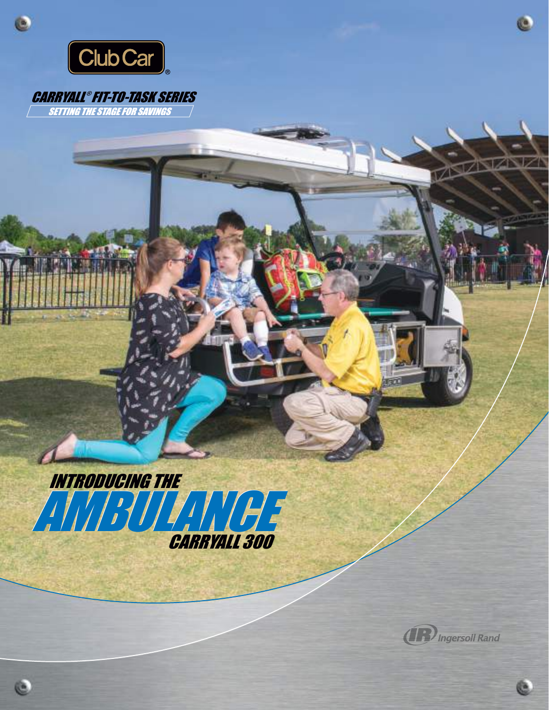

Ċ

è

## CARRYALL ® FIT-TO-TASK SERIES **SETTING THE STAGE FOR SAVINGS**





œ.